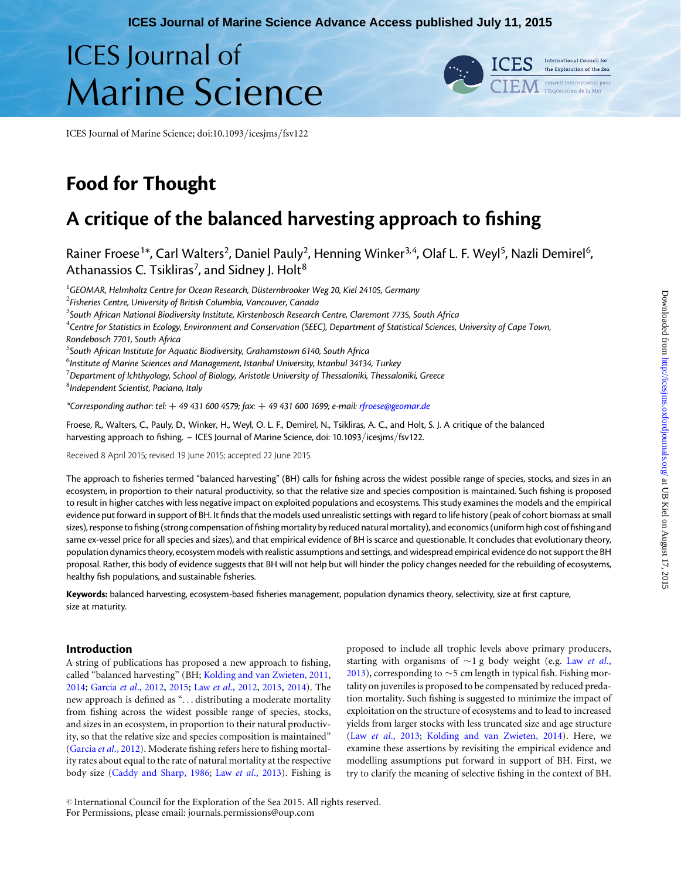**ICES Journal of Marine Science Advance Access published July 11, 2015**

# ICES Journal of Marine Science



ICES Journal of Marine Science; doi:10.1093/icesjms/fsv122

# Food for Thought

# A critique of the balanced harvesting approach to fishing

Rainer Froese<sup>1\*</sup>, Carl Walters<sup>2</sup>, Daniel Pauly<sup>2</sup>, Henning Winker<sup>3,4</sup>, Olaf L. F. Weyl<sup>5</sup>, Nazli Demirel<sup>6</sup>, Athanassios C. Tsikliras<sup>7</sup>, and Sidney I. Holt<sup>8</sup>

 $^{\rm 1}$ GEOMAR, Helmholtz Centre for Ocean Research, Düsternbrooker Weg 20, Kiel 24105, Germany

 $^3$ South African National Biodiversity Institute, Kirstenbosch Research Centre, Claremont 7735, South Africa

 $^4$ Centre for Statistics in Ecology, Environment and Conservation (SEEC), Department of Statistical Sciences, University of Cape Town, Rondebosch 7701, South Africa

 $^5$ South African Institute for Aquatic Biodiversity, Grahamstown 6140, South Africa

 $^6$ Institute of Marine Sciences and Management, Istanbul University, Istanbul 34134, Turkey

 $^7$ Department of Ichthyology, School of Biology, Aristotle University of Thessaloniki, Thessaloniki, Greece

<sup>8</sup>Independent Scientist, Paciano, Italy

\*Corresponding author: tel: + 49 431 600 4579; fax: + 49 431 600 1699; e-mail: [rfroese@geomar.de](mailto:rfroese@geomar.de)

Froese, R., Walters, C., Pauly, D., Winker, H., Weyl, O. L. F., Demirel, N., Tsikliras, A. C., and Holt, S. J. A critique of the balanced harvesting approach to fishing. – ICES Journal of Marine Science, doi: 10.1093/icesjms/fsv122.

Received 8 April 2015; revised 19 June 2015; accepted 22 June 2015.

The approach to fisheries termed "balanced harvesting" (BH) calls for fishing across the widest possible range of species, stocks, and sizes in an ecosystem, in proportion to their natural productivity, so that the relative size and species composition is maintained. Such fishing is proposed to result in higher catches with less negative impact on exploited populations and ecosystems. This study examines the models and the empirical evidence put forward in support of BH. It finds that the models used unrealistic settings with regard to life history (peak of cohort biomass at small sizes), response to fishing (strong compensation of fishing mortality by reduced natural mortality), and economics (uniform high cost of fishing and same ex-vessel price for all species and sizes), and that empirical evidence of BH is scarce and questionable. It concludes that evolutionary theory, population dynamics theory, ecosystem models with realistic assumptions and settings, and widespread empirical evidence do not support the BH proposal. Rather, this body of evidence suggests that BH will not help but will hinder the policy changes needed for the rebuilding of ecosystems, healthy fish populations, and sustainable fisheries.

Keywords: balanced harvesting, ecosystem-based fisheries management, population dynamics theory, selectivity, size at first capture, size at maturity.

## Introduction

A string of publications has proposed a new approach to fishing, called "balanced harvesting" (BH; [Kolding and van Zwieten, 2011](#page-8-0), [2014;](#page-8-0) Garcia et al[., 2012](#page-8-0), [2015;](#page-8-0) Law et al[., 2012](#page-9-0), [2013](#page-8-0), [2014](#page-9-0)). The new approach is defined as "... distributing a moderate mortality from fishing across the widest possible range of species, stocks, and sizes in an ecosystem, in proportion to their natural productivity, so that the relative size and species composition is maintained" ([Garcia](#page-8-0) et al., 2012). Moderate fishing refers here to fishing mortality rates about equal to the rate of natural mortality at the respective body size ([Caddy and Sharp, 1986](#page-7-0); Law et al[., 2013](#page-8-0)). Fishing is

proposed to include all trophic levels above primary producers, starting with organisms of  $\sim$ 1 g body weight (e.g. Law *[et al](#page-8-0).*, [2013](#page-8-0)), corresponding to  $\sim$  5 cm length in typical fish. Fishing mortality on juveniles is proposed to be compensated by reduced predation mortality. Such fishing is suggested to minimize the impact of exploitation on the structure of ecosystems and to lead to increased yields from larger stocks with less truncated size and age structure (Law et al[., 2013](#page-8-0); [Kolding and van Zwieten, 2014\)](#page-8-0). Here, we examine these assertions by revisiting the empirical evidence and modelling assumptions put forward in support of BH. First, we try to clarify the meaning of selective fishing in the context of BH.

© International Council for the Exploration of the Sea 2015. All rights reserved. For Permissions, please email: journals.permissions@oup.com

 $^{2}$ Fisheries Centre, University of British Columbia, Vancouver, Canada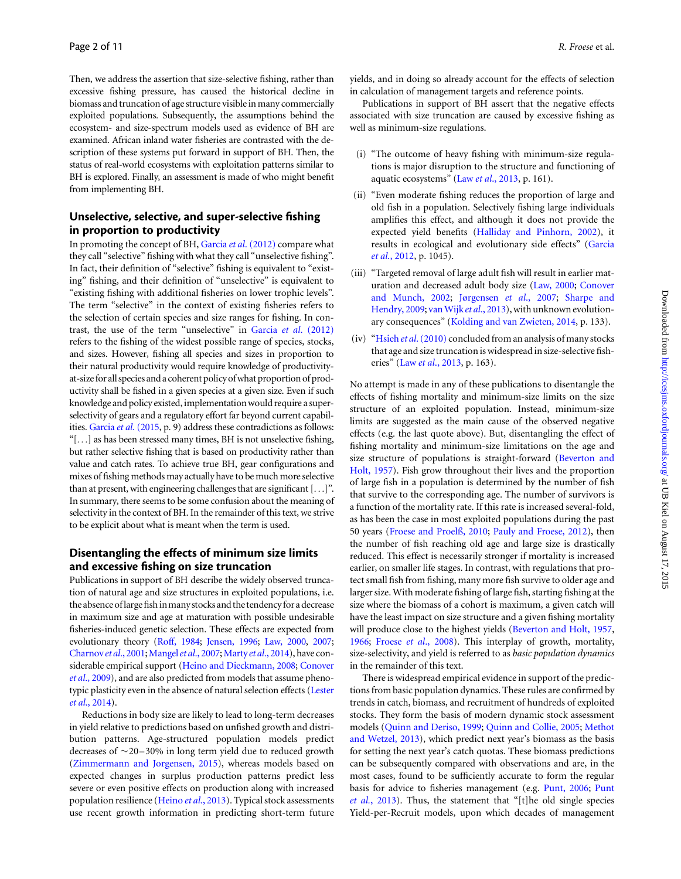Then, we address the assertion that size-selective fishing, rather than excessive fishing pressure, has caused the historical decline in biomass and truncation of age structure visible in many commercially exploited populations. Subsequently, the assumptions behind the ecosystem- and size-spectrum models used as evidence of BH are examined. African inland water fisheries are contrasted with the description of these systems put forward in support of BH. Then, the status of real-world ecosystems with exploitation patterns similar to BH is explored. Finally, an assessment is made of who might benefit from implementing BH.

## Unselective, selective, and super-selective fishing in proportion to productivity

In promoting the concept of BH, Garcia et al[. \(2012\)](#page-8-0) compare what they call "selective" fishing with what they call "unselective fishing". In fact, their definition of "selective" fishing is equivalent to "existing" fishing, and their definition of "unselective" is equivalent to "existing fishing with additional fisheries on lower trophic levels". The term "selective" in the context of existing fisheries refers to the selection of certain species and size ranges for fishing. In contrast, the use of the term "unselective" in Garcia et al[. \(2012\)](#page-8-0) refers to the fishing of the widest possible range of species, stocks, and sizes. However, fishing all species and sizes in proportion to their natural productivity would require knowledge of productivityat-sizefor all species and a coherent policy ofwhat proportion of productivity shall be fished in a given species at a given size. Even if such knowledge and policy existed, implementation would require a superselectivity of gears and a regulatory effort far beyond current capabilities. Garcia et al[. \(2015](#page-8-0), p. 9) address these contradictions as follows: " $[...]$  as has been stressed many times, BH is not unselective fishing, but rather selective fishing that is based on productivity rather than value and catch rates. To achieve true BH, gear configurations and mixes of fishing methods may actually have to be much more selective than at present, with engineering challenges that are significant [...]". In summary, there seems to be some confusion about the meaning of selectivity in the context of BH. In the remainder of this text, we strive to be explicit about what is meant when the term is used.

#### Disentangling the effects of minimum size limits and excessive fishing on size truncation

Publications in support of BH describe the widely observed truncation of natural age and size structures in exploited populations, i.e. the absence of large fish in many stocks and the tendency for a decrease in maximum size and age at maturation with possible undesirable fisheries-induced genetic selection. These effects are expected from evolutionary theory ([Roff, 1984;](#page-9-0) [Jensen, 1996;](#page-8-0) [Law, 2000](#page-8-0), [2007](#page-8-0); [Charnov](#page-7-0) et al., 2001; [Mangel](#page-9-0) et al., 2007; Marty et al[., 2014](#page-9-0)), have considerable empirical support [\(Heino and Dieckmann, 2008;](#page-8-0) [Conover](#page-7-0) et al[., 2009](#page-7-0)), and are also predicted from models that assume phenotypic plasticity even in the absence of natural selection effects [\(Lester](#page-9-0) et al[., 2014\)](#page-9-0).

Reductions in body size are likely to lead to long-term decreases in yield relative to predictions based on unfished growth and distribution patterns. Age-structured population models predict decreases of  $\sim$ 20–30% in long term yield due to reduced growth ([Zimmermann and Jorgensen, 2015\)](#page-10-0), whereas models based on expected changes in surplus production patterns predict less severe or even positive effects on production along with increased population resilience (Heino et al[., 2013](#page-8-0)). Typical stock assessments use recent growth information in predicting short-term future yields, and in doing so already account for the effects of selection in calculation of management targets and reference points.

Publications in support of BH assert that the negative effects associated with size truncation are caused by excessive fishing as well as minimum-size regulations.

- (i) "The outcome of heavy fishing with minimum-size regulations is major disruption to the structure and functioning of aquatic ecosystems" (Law et al[., 2013](#page-8-0), p. 161).
- (ii) "Even moderate fishing reduces the proportion of large and old fish in a population. Selectively fishing large individuals amplifies this effect, and although it does not provide the expected yield benefits ([Halliday and Pinhorn, 2002](#page-8-0)), it results in ecological and evolutionary side effects" [\(Garcia](#page-8-0) et al.[, 2012](#page-8-0), p. 1045).
- (iii) "Targeted removal of large adult fish will result in earlier maturation and decreased adult body size ([Law, 2000;](#page-8-0) [Conover](#page-7-0) [and Munch, 2002;](#page-7-0) [Jørgensen](#page-8-0) et al., 2007; [Sharpe and](#page-9-0) [Hendry, 2009](#page-9-0); [vanWijk](#page-10-0) et al., 2013), with unknown evolutionary consequences" ([Kolding and van Zwieten, 2014,](#page-8-0) p. 133).
- (iv) "Hsieh et al[. \(2010\)](#page-8-0) concluded from an analysis of many stocks that age and size truncation is widespread in size-selective fish-eries" (Law et al[., 2013,](#page-8-0) p. 163).

No attempt is made in any of these publications to disentangle the effects of fishing mortality and minimum-size limits on the size structure of an exploited population. Instead, minimum-size limits are suggested as the main cause of the observed negative effects (e.g. the last quote above). But, disentangling the effect of fishing mortality and minimum-size limitations on the age and size structure of populations is straight-forward ([Beverton and](#page-7-0) [Holt, 1957](#page-7-0)). Fish grow throughout their lives and the proportion of large fish in a population is determined by the number of fish that survive to the corresponding age. The number of survivors is a function of the mortality rate. If this rate is increased several-fold, as has been the case in most exploited populations during the past 50 years [\(Froese and Proelß, 2010;](#page-8-0) [Pauly and Froese, 2012](#page-9-0)), then the number of fish reaching old age and large size is drastically reduced. This effect is necessarily stronger if mortality is increased earlier, on smaller life stages. In contrast, with regulations that protect small fish from fishing, many more fish survive to older age and larger size. With moderate fishing of large fish, starting fishing at the size where the biomass of a cohort is maximum, a given catch will have the least impact on size structure and a given fishing mortality will produce close to the highest yields [\(Beverton and Holt, 1957,](#page-7-0) [1966;](#page-7-0) Froese et al[., 2008](#page-8-0)). This interplay of growth, mortality, size-selectivity, and yield is referred to as basic population dynamics in the remainder of this text.

There is widespread empirical evidence in support of the predictions from basic population dynamics. These rules are confirmed by trends in catch, biomass, and recruitment of hundreds of exploited stocks. They form the basis of modern dynamic stock assessment models [\(Quinn and Deriso, 1999](#page-9-0); [Quinn and Collie, 2005;](#page-9-0) [Methot](#page-9-0) [and Wetzel, 2013](#page-9-0)), which predict next year's biomass as the basis for setting the next year's catch quotas. These biomass predictions can be subsequently compared with observations and are, in the most cases, found to be sufficiently accurate to form the regular basis for advice to fisheries management (e.g. [Punt, 2006;](#page-9-0) [Punt](#page-9-0) et al.[, 2013\)](#page-9-0). Thus, the statement that "[t]he old single species Yield-per-Recruit models, upon which decades of management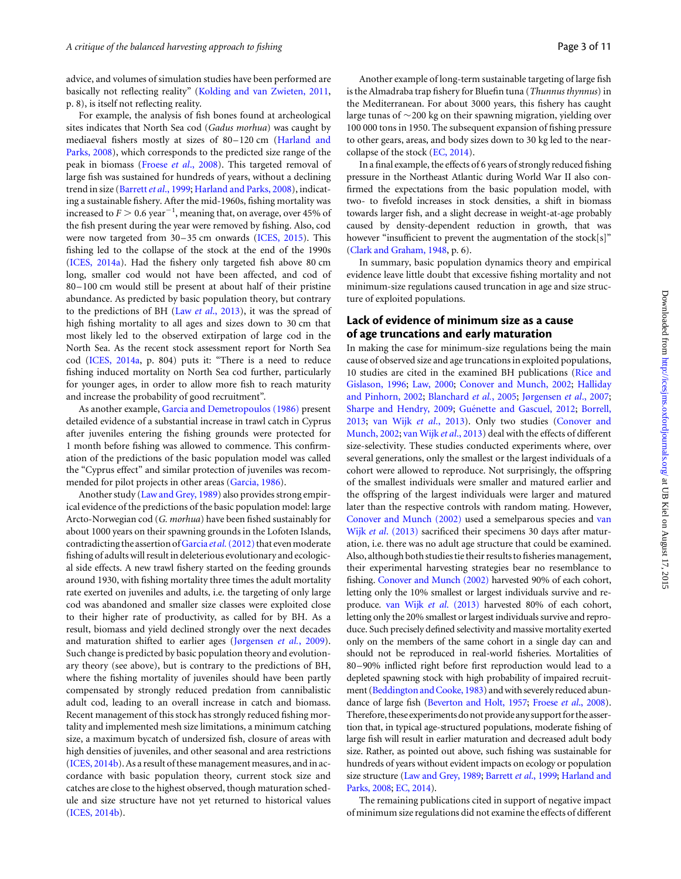advice, and volumes of simulation studies have been performed are basically not reflecting reality" ([Kolding and van Zwieten, 2011](#page-8-0), p. 8), is itself not reflecting reality.

For example, the analysis of fish bones found at archeological sites indicates that North Sea cod (Gadus morhua) was caught by mediaeval fishers mostly at sizes of 80-120 cm ([Harland and](#page-8-0) [Parks, 2008\)](#page-8-0), which corresponds to the predicted size range of the peak in biomass (Froese et al[., 2008\)](#page-8-0). This targeted removal of large fish was sustained for hundreds of years, without a declining trend in size [\(Barrett](#page-7-0) et al., 1999; [Harland and Parks, 2008](#page-8-0)), indicating a sustainable fishery. After the mid-1960s, fishing mortality was increased to  $F > 0.6$  year<sup>-1</sup>, meaning that, on average, over 45% of the fish present during the year were removed by fishing. Also, cod were now targeted from 30–35 cm onwards [\(ICES, 2015\)](#page-8-0). This fishing led to the collapse of the stock at the end of the 1990s ([ICES, 2014a](#page-8-0)). Had the fishery only targeted fish above 80 cm long, smaller cod would not have been affected, and cod of 80 –100 cm would still be present at about half of their pristine abundance. As predicted by basic population theory, but contrary to the predictions of BH (Law et al[., 2013\)](#page-8-0), it was the spread of high fishing mortality to all ages and sizes down to 30 cm that most likely led to the observed extirpation of large cod in the North Sea. As the recent stock assessment report for North Sea cod [\(ICES, 2014a,](#page-8-0) p. 804) puts it: "There is a need to reduce fishing induced mortality on North Sea cod further, particularly for younger ages, in order to allow more fish to reach maturity and increase the probability of good recruitment".

As another example, [Garcia and Demetropoulos \(1986\)](#page-8-0) present detailed evidence of a substantial increase in trawl catch in Cyprus after juveniles entering the fishing grounds were protected for 1 month before fishing was allowed to commence. This confirmation of the predictions of the basic population model was called the "Cyprus effect" and similar protection of juveniles was recommended for pilot projects in other areas [\(Garcia, 1986](#page-8-0)).

Another study ([Law and Grey, 1989\)](#page-8-0) also provides strong empirical evidence of the predictions of the basic population model: large Arcto-Norwegian cod (G. morhua) have been fished sustainably for about 1000 years on their spawning grounds in the Lofoten Islands, contradicting the assertion of [Garcia](#page-8-0) et al.  $(2012)$  that even moderate fishing of adults will result in deleterious evolutionary and ecological side effects. A new trawl fishery started on the feeding grounds around 1930, with fishing mortality three times the adult mortality rate exerted on juveniles and adults, i.e. the targeting of only large cod was abandoned and smaller size classes were exploited close to their higher rate of productivity, as called for by BH. As a result, biomass and yield declined strongly over the next decades and maturation shifted to earlier ages [\(Jørgensen](#page-8-0) et al., 2009). Such change is predicted by basic population theory and evolutionary theory (see above), but is contrary to the predictions of BH, where the fishing mortality of juveniles should have been partly compensated by strongly reduced predation from cannibalistic adult cod, leading to an overall increase in catch and biomass. Recent management of this stock has strongly reduced fishing mortality and implemented mesh size limitations, a minimum catching size, a maximum bycatch of undersized fish, closure of areas with high densities of juveniles, and other seasonal and area restrictions ([ICES, 2014b](#page-8-0)). As a result of these management measures, and in accordance with basic population theory, current stock size and catches are close to the highest observed, though maturation schedule and size structure have not yet returned to historical values ([ICES, 2014b](#page-8-0)).

Another example of long-term sustainable targeting of large fish is the Almadraba trap fishery for Bluefin tuna (Thunnus thynnus) in the Mediterranean. For about 3000 years, this fishery has caught large tunas of  $\sim$ 200 kg on their spawning migration, yielding over 100 000 tons in 1950. The subsequent expansion of fishing pressure to other gears, areas, and body sizes down to 30 kg led to the nearcollapse of the stock [\(EC, 2014\)](#page-8-0).

In a final example, the effects of 6 years of strongly reduced fishing pressure in the Northeast Atlantic during World War II also confirmed the expectations from the basic population model, with two- to fivefold increases in stock densities, a shift in biomass towards larger fish, and a slight decrease in weight-at-age probably caused by density-dependent reduction in growth, that was however "insufficient to prevent the augmentation of the stock[s]" [\(Clark and Graham, 1948,](#page-7-0) p. 6).

In summary, basic population dynamics theory and empirical evidence leave little doubt that excessive fishing mortality and not minimum-size regulations caused truncation in age and size structure of exploited populations.

#### Lack of evidence of minimum size as a cause of age truncations and early maturation

In making the case for minimum-size regulations being the main cause of observed size and age truncations in exploited populations, 10 studies are cited in the examined BH publications [\(Rice and](#page-9-0) [Gislason, 1996](#page-9-0); [Law, 2000](#page-8-0); [Conover and Munch, 2002;](#page-7-0) [Halliday](#page-8-0) [and Pinhorn, 2002](#page-8-0); [Blanchard](#page-7-0) et al., 2005; [Jørgensen](#page-8-0) et al., 2007; [Sharpe and Hendry, 2009;](#page-9-0) Guénette and Gascuel, 2012; [Borrell,](#page-7-0) [2013](#page-7-0); [van Wijk](#page-10-0) et al., 2013). Only two studies ([Conover and](#page-7-0) [Munch, 2002](#page-7-0); [van Wijk](#page-10-0) et al., 2013) deal with the effects of different size-selectivity. These studies conducted experiments where, over several generations, only the smallest or the largest individuals of a cohort were allowed to reproduce. Not surprisingly, the offspring of the smallest individuals were smaller and matured earlier and the offspring of the largest individuals were larger and matured later than the respective controls with random mating. However, [Conover and Munch \(2002\)](#page-7-0) used a semelparous species and [van](#page-10-0) Wijk et al[. \(2013\)](#page-10-0) sacrificed their specimens 30 days after maturation, i.e. there was no adult age structure that could be examined. Also, although both studies tie their results to fisheries management, their experimental harvesting strategies bear no resemblance to fishing. [Conover and Munch \(2002\)](#page-7-0) harvested 90% of each cohort, letting only the 10% smallest or largest individuals survive and reproduce. [van Wijk](#page-10-0) et al. (2013) harvested 80% of each cohort, letting only the 20% smallest or largest individuals survive and reproduce. Such precisely defined selectivity and massive mortality exerted only on the members of the same cohort in a single day can and should not be reproduced in real-world fisheries. Mortalities of 80–90% inflicted right before first reproduction would lead to a depleted spawning stock with high probability of impaired recruitment (Beddington and Cooke, 1983) and with severely reduced abun-dance of large fish ([Beverton and Holt, 1957](#page-7-0); Froese et al[., 2008](#page-8-0)). Therefore, these experiments do not provide any support for the assertion that, in typical age-structured populations, moderate fishing of large fish will result in earlier maturation and decreased adult body size. Rather, as pointed out above, such fishing was sustainable for hundreds of years without evident impacts on ecology or population size structure [\(Law and Grey, 1989;](#page-8-0) [Barrett](#page-7-0) et al., 1999; [Harland and](#page-8-0) [Parks, 2008;](#page-8-0) [EC, 2014\)](#page-8-0).

The remaining publications cited in support of negative impact of minimum size regulations did not examine the effects of different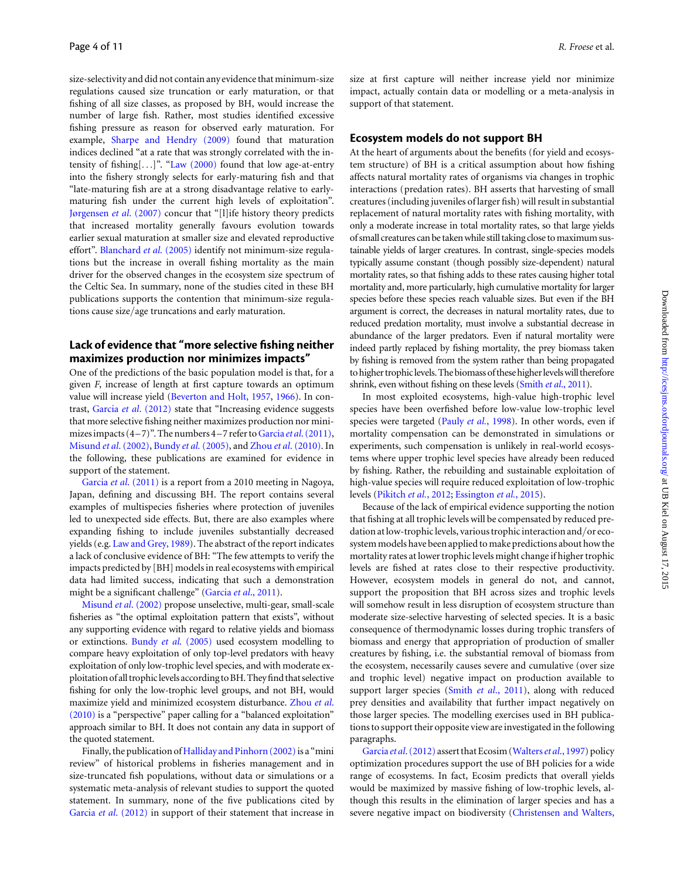size-selectivity and did not contain any evidence that minimum-size regulations caused size truncation or early maturation, or that fishing of all size classes, as proposed by BH, would increase the number of large fish. Rather, most studies identified excessive fishing pressure as reason for observed early maturation. For example, [Sharpe and Hendry \(2009\)](#page-9-0) found that maturation indices declined "at a rate that was strongly correlated with the intensity of fishing[...]". ["Law \(2000\)](#page-8-0) found that low age-at-entry into the fishery strongly selects for early-maturing fish and that "late-maturing fish are at a strong disadvantage relative to earlymaturing fish under the current high levels of exploitation". [Jørgensen](#page-8-0) et al. (2007) concur that "[l]ife history theory predicts that increased mortality generally favours evolution towards earlier sexual maturation at smaller size and elevated reproductive effort". [Blanchard](#page-7-0) et al. (2005) identify not minimum-size regulations but the increase in overall fishing mortality as the main driver for the observed changes in the ecosystem size spectrum of the Celtic Sea. In summary, none of the studies cited in these BH publications supports the contention that minimum-size regulations cause size/age truncations and early maturation.

## Lack of evidence that "more selective fishing neither maximizes production nor minimizes impacts"

One of the predictions of the basic population model is that, for a given F, increase of length at first capture towards an optimum value will increase yield ([Beverton and Holt, 1957](#page-7-0), [1966](#page-7-0)). In contrast, Garcia et al[. \(2012\)](#page-8-0) state that "Increasing evidence suggests that more selective fishing neither maximizes production nor minimizes impacts  $(4-7)$ ". The numbers  $4-7$  refer to Garcia *et al.* (2011), [Misund](#page-9-0) et al. (2002), Bundy et al.[\(2005\),](#page-7-0) and Zhou et al[. \(2010\).](#page-10-0) In the following, these publications are examined for evidence in support of the statement.

Garcia et al[. \(2011\)](#page-8-0) is a report from a 2010 meeting in Nagoya, Japan, defining and discussing BH. The report contains several examples of multispecies fisheries where protection of juveniles led to unexpected side effects. But, there are also examples where expanding fishing to include juveniles substantially decreased yields (e.g. [Law and Grey, 1989\)](#page-8-0). The abstract of the report indicates a lack of conclusive evidence of BH: "The few attempts to verify the impacts predicted by [BH] models in real ecosystems with empirical data had limited success, indicating that such a demonstration might be a significant challenge" (Garcia et al[., 2011\)](#page-8-0).

Misund et al[. \(2002\)](#page-9-0) propose unselective, multi-gear, small-scale fisheries as "the optimal exploitation pattern that exists", without any supporting evidence with regard to relative yields and biomass or extinctions. Bundy et al[. \(2005\)](#page-7-0) used ecosystem modelling to compare heavy exploitation of only top-level predators with heavy exploitation of only low-trophic level species, and with moderate exploitation ofall trophiclevels according toBH.They find that selective fishing for only the low-trophic level groups, and not BH, would maximize yield and minimized ecosystem disturbance. [Zhou](#page-10-0) et al. [\(2010\)](#page-10-0) is a "perspective" paper calling for a "balanced exploitation" approach similar to BH. It does not contain any data in support of the quoted statement.

Finally, the publication of [Halliday and Pinhorn \(2002\)](#page-8-0) is a "mini review" of historical problems in fisheries management and in size-truncated fish populations, without data or simulations or a systematic meta-analysis of relevant studies to support the quoted statement. In summary, none of the five publications cited by Garcia et al[. \(2012\)](#page-8-0) in support of their statement that increase in

size at first capture will neither increase yield nor minimize impact, actually contain data or modelling or a meta-analysis in support of that statement.

#### Ecosystem models do not support BH

At the heart of arguments about the benefits (for yield and ecosystem structure) of BH is a critical assumption about how fishing affects natural mortality rates of organisms via changes in trophic interactions (predation rates). BH asserts that harvesting of small creatures (including juveniles of larger fish) will result in substantial replacement of natural mortality rates with fishing mortality, with only a moderate increase in total mortality rates, so that large yields of small creatures can be taken while still taking close to maximum sustainable yields of larger creatures. In contrast, single-species models typically assume constant (though possibly size-dependent) natural mortality rates, so that fishing adds to these rates causing higher total mortality and, more particularly, high cumulative mortality for larger species before these species reach valuable sizes. But even if the BH argument is correct, the decreases in natural mortality rates, due to reduced predation mortality, must involve a substantial decrease in abundance of the larger predators. Even if natural mortality were indeed partly replaced by fishing mortality, the prey biomass taken by fishing is removed from the system rather than being propagated to higher trophic levels. The biomass of these higher levels will therefore shrink, even without fishing on these levels (Smith et al[., 2011](#page-9-0)).

In most exploited ecosystems, high-value high-trophic level species have been overfished before low-value low-trophic level species were targeted (Pauly et al.[, 1998](#page-9-0)). In other words, even if mortality compensation can be demonstrated in simulations or experiments, such compensation is unlikely in real-world ecosystems where upper trophic level species have already been reduced by fishing. Rather, the rebuilding and sustainable exploitation of high-value species will require reduced exploitation of low-trophic levels [\(Pikitch](#page-9-0) et al., 2012; [Essington](#page-8-0) et al., 2015).

Because of the lack of empirical evidence supporting the notion that fishing at all trophic levels will be compensated by reduced predation at low-trophic levels, various trophic interaction and/or ecosystem models have been applied to make predictions about how the mortality rates at lower trophic levels might change if higher trophic levels are fished at rates close to their respective productivity. However, ecosystem models in general do not, and cannot, support the proposition that BH across sizes and trophic levels will somehow result in less disruption of ecosystem structure than moderate size-selective harvesting of selected species. It is a basic consequence of thermodynamic losses during trophic transfers of biomass and energy that appropriation of production of smaller creatures by fishing, i.e. the substantial removal of biomass from the ecosystem, necessarily causes severe and cumulative (over size and trophic level) negative impact on production available to support larger species (Smith et al[., 2011\)](#page-9-0), along with reduced prey densities and availability that further impact negatively on those larger species. The modelling exercises used in BH publications to support their opposite view are investigated in the following paragraphs.

Garcia et al[. \(2012\)](#page-8-0) assert that Ecosim [\(Walters](#page-10-0) et al., 1997) policy optimization procedures support the use of BH policies for a wide range of ecosystems. In fact, Ecosim predicts that overall yields would be maximized by massive fishing of low-trophic levels, although this results in the elimination of larger species and has a severe negative impact on biodiversity [\(Christensen and Walters,](#page-7-0)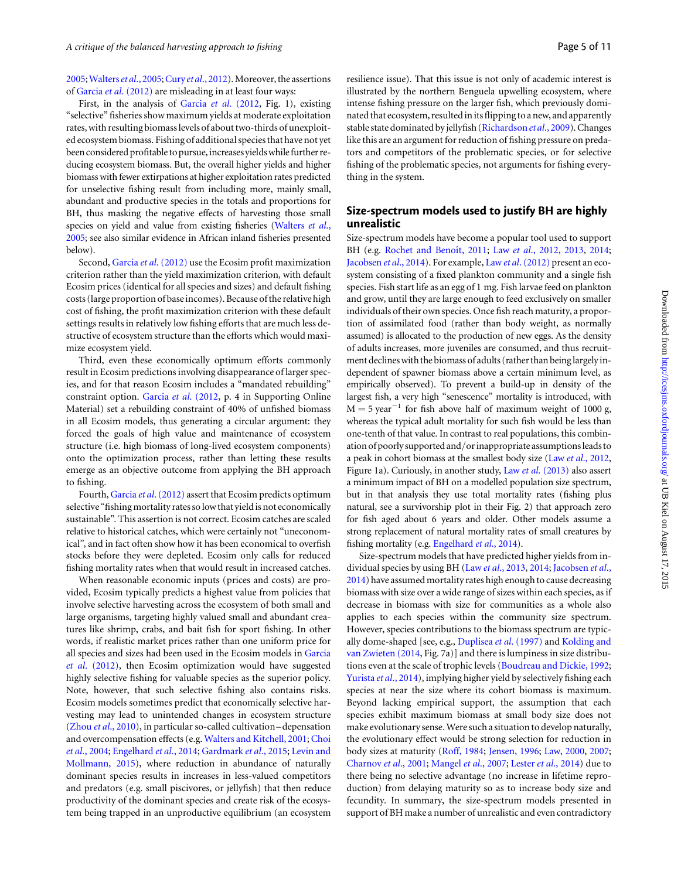[2005;](#page-7-0) [Walters](#page-10-0) et al., 2005; Cury et al[., 2012\)](#page-7-0). Moreover, the assertions of Garcia et al[. \(2012\)](#page-8-0) are misleading in at least four ways:

First, in the analysis of Garcia et al[. \(2012](#page-8-0), Fig. 1), existing "selective" fisheries show maximum yields at moderate exploitation rates, with resulting biomass levels of about two-thirds of unexploited ecosystem biomass. Fishing of additional species that have not yet been considered profitable to pursue, increases yields while further reducing ecosystem biomass. But, the overall higher yields and higher biomass with fewer extirpations at higher exploitation rates predicted for unselective fishing result from including more, mainly small, abundant and productive species in the totals and proportions for BH, thus masking the negative effects of harvesting those small species on yield and value from existing fisheries [\(Walters](#page-10-0) et al., [2005](#page-10-0); see also similar evidence in African inland fisheries presented below).

Second, Garcia et al[. \(2012\)](#page-8-0) use the Ecosim profit maximization criterion rather than the yield maximization criterion, with default Ecosim prices (identical for all species and sizes) and default fishing costs (large proportion of base incomes). Because of the relative high cost of fishing, the profit maximization criterion with these default settings results in relatively low fishing efforts that are much less destructive of ecosystem structure than the efforts which would maximize ecosystem yield.

Third, even these economically optimum efforts commonly result in Ecosim predictions involving disappearance of larger species, and for that reason Ecosim includes a "mandated rebuilding" constraint option. Garcia et al[. \(2012](#page-8-0), p. 4 in Supporting Online Material) set a rebuilding constraint of 40% of unfished biomass in all Ecosim models, thus generating a circular argument: they forced the goals of high value and maintenance of ecosystem structure (i.e. high biomass of long-lived ecosystem components) onto the optimization process, rather than letting these results emerge as an objective outcome from applying the BH approach to fishing.

Fourth, Garcia et al[. \(2012\)](#page-8-0) assert that Ecosim predicts optimum selective "fishing mortality rates so low that yield is not economically sustainable". This assertion is not correct. Ecosim catches are scaled relative to historical catches, which were certainly not "uneconomical", and in fact often show how it has been economical to overfish stocks before they were depleted. Ecosim only calls for reduced fishing mortality rates when that would result in increased catches.

When reasonable economic inputs (prices and costs) are provided, Ecosim typically predicts a highest value from policies that involve selective harvesting across the ecosystem of both small and large organisms, targeting highly valued small and abundant creatures like shrimp, crabs, and bait fish for sport fishing. In other words, if realistic market prices rather than one uniform price for all species and sizes had been used in the Ecosim models in [Garcia](#page-8-0) et al[. \(2012\),](#page-8-0) then Ecosim optimization would have suggested highly selective fishing for valuable species as the superior policy. Note, however, that such selective fishing also contains risks. Ecosim models sometimes predict that economically selective harvesting may lead to unintended changes in ecosystem structure (Zhou et al[., 2010](#page-10-0)), in particular so-called cultivation-depensation and overcompensation effects (e.g. [Walters and Kitchell, 2001](#page-10-0); [Choi](#page-7-0) et al[., 2004](#page-7-0); [Engelhard](#page-8-0) et al., 2014; [Gardmark](#page-8-0) et al., 2015; [Levin and](#page-9-0) [Mollmann, 2015\)](#page-9-0), where reduction in abundance of naturally dominant species results in increases in less-valued competitors and predators (e.g. small piscivores, or jellyfish) that then reduce productivity of the dominant species and create risk of the ecosystem being trapped in an unproductive equilibrium (an ecosystem

resilience issue). That this issue is not only of academic interest is illustrated by the northern Benguela upwelling ecosystem, where intense fishing pressure on the larger fish, which previously dominated that ecosystem, resultedinits flipping to a new, and apparently stable state dominated by jellyfish [\(Richardson](#page-9-0) et al., 2009). Changes like this are an argument for reduction of fishing pressure on predators and competitors of the problematic species, or for selective fishing of the problematic species, not arguments for fishing everything in the system.

#### Size-spectrum models used to justify BH are highly unrealistic

Size-spectrum models have become a popular tool used to support BH (e.g. Rochet and Benoît, 2011; Law et al[., 2012](#page-9-0), [2013](#page-8-0), [2014;](#page-9-0) [Jacobsen](#page-8-0) et al., 2014). For example, Law et al[. \(2012\)](#page-9-0) present an ecosystem consisting of a fixed plankton community and a single fish species. Fish start life as an egg of 1 mg. Fish larvae feed on plankton and grow, until they are large enough to feed exclusively on smaller individuals of their own species. Once fish reach maturity, a proportion of assimilated food (rather than body weight, as normally assumed) is allocated to the production of new eggs. As the density of adults increases, more juveniles are consumed, and thus recruitment declineswith the biomass of adults (rather than being largelyindependent of spawner biomass above a certain minimum level, as empirically observed). To prevent a build-up in density of the largest fish, a very high "senescence" mortality is introduced, with  $M = 5$  year<sup>-1</sup> for fish above half of maximum weight of 1000 g, whereas the typical adult mortality for such fish would be less than one-tenth of that value. In contrast to real populations, this combination of poorly supported and/orinappropriate assumptions leads to a peak in cohort biomass at the smallest body size (Law et al[., 2012,](#page-9-0) Figure 1a). Curiously, in another study, Law et al[. \(2013\)](#page-8-0) also assert a minimum impact of BH on a modelled population size spectrum, but in that analysis they use total mortality rates (fishing plus natural, see a survivorship plot in their Fig. 2) that approach zero for fish aged about 6 years and older. Other models assume a strong replacement of natural mortality rates of small creatures by fishing mortality (e.g. [Engelhard](#page-8-0) et al., 2014).

Size-spectrum models that have predicted higher yields from in-dividual species by using BH (Law et al[., 2013,](#page-8-0) [2014;](#page-9-0) [Jacobsen](#page-8-0) et al., [2014](#page-8-0)) have assumed mortality rates high enough to cause decreasing biomass with size over a wide range of sizes within each species, as if decrease in biomass with size for communities as a whole also applies to each species within the community size spectrum. However, species contributions to the biomass spectrum are typic-ally dome-shaped [see, e.g., [Duplisea](#page-8-0) et al. (1997) and [Kolding and](#page-8-0) [van Zwieten \(2014,](#page-8-0) Fig. 7a)] and there is lumpiness in size distributions even at the scale of trophic levels [\(Boudreau and Dickie, 1992;](#page-7-0) [Yurista](#page-10-0) et al., 2014), implying higher yield by selectively fishing each species at near the size where its cohort biomass is maximum. Beyond lacking empirical support, the assumption that each species exhibit maximum biomass at small body size does not make evolutionary sense.Were such a situation to develop naturally, the evolutionary effect would be strong selection for reduction in body sizes at maturity ([Roff, 1984](#page-9-0); [Jensen, 1996;](#page-8-0) [Law, 2000,](#page-8-0) [2007;](#page-8-0) [Charnov](#page-7-0) et al., 2001; [Mangel](#page-9-0) et al., 2007; Lester et al[., 2014\)](#page-9-0) due to there being no selective advantage (no increase in lifetime reproduction) from delaying maturity so as to increase body size and fecundity. In summary, the size-spectrum models presented in support of BH make a number of unrealistic and even contradictory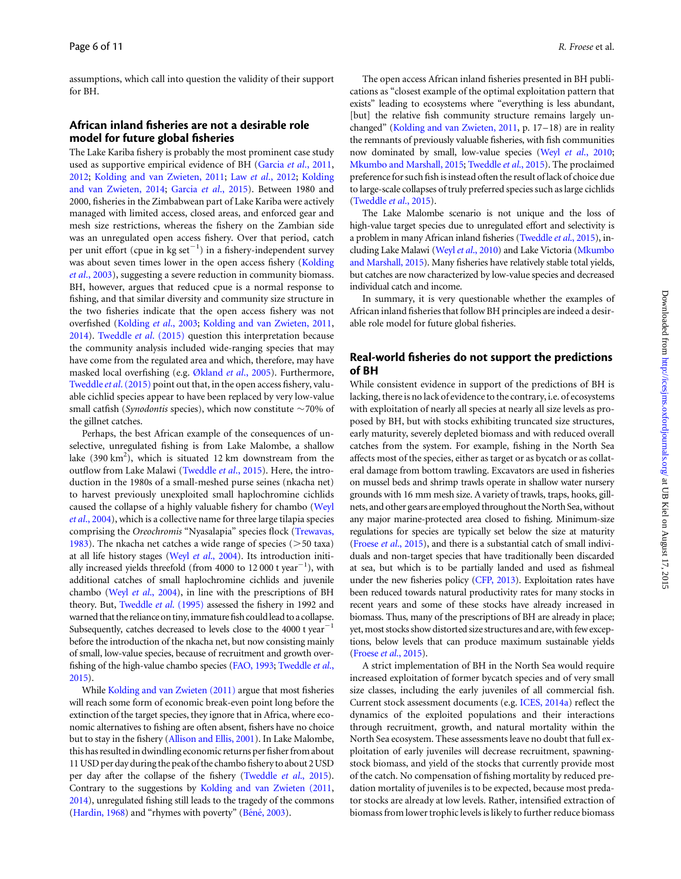assumptions, which call into question the validity of their support for BH.

## African inland fisheries are not a desirable role model for future global fisheries

The Lake Kariba fishery is probably the most prominent case study used as supportive empirical evidence of BH (Garcia et al[., 2011](#page-8-0), [2012;](#page-8-0) [Kolding and van Zwieten, 2011;](#page-8-0) Law et al[., 2012](#page-9-0); [Kolding](#page-8-0) [and van Zwieten, 2014](#page-8-0); Garcia et al[., 2015\)](#page-8-0). Between 1980 and 2000, fisheries in the Zimbabwean part of Lake Kariba were actively managed with limited access, closed areas, and enforced gear and mesh size restrictions, whereas the fishery on the Zambian side was an unregulated open access fishery. Over that period, catch per unit effort (cpue in  $kg \text{ set}^{-1}$ ) in a fishery-independent survey was about seven times lower in the open access fishery ([Kolding](#page-8-0) et al[., 2003\)](#page-8-0), suggesting a severe reduction in community biomass. BH, however, argues that reduced cpue is a normal response to fishing, and that similar diversity and community size structure in the two fisheries indicate that the open access fishery was not overfished ([Kolding](#page-8-0) et al., 2003; [Kolding and van Zwieten, 2011](#page-8-0), [2014\)](#page-8-0). [Tweddle](#page-9-0) et al. (2015) question this interpretation because the community analysis included wide-ranging species that may have come from the regulated area and which, therefore, may have masked local overfishing (e.g. [Økland](#page-9-0) et al., 2005). Furthermore, [Tweddle](#page-9-0) et al. (2015) point out that, in the open access fishery, valuable cichlid species appear to have been replaced by very low-value small catfish (*Synodontis* species), which now constitute  $\sim$ 70% of the gillnet catches.

Perhaps, the best African example of the consequences of unselective, unregulated fishing is from Lake Malombe, a shallow lake  $(390 \text{ km}^2)$ , which is situated 12 km downstream from the outflow from Lake Malawi [\(Tweddle](#page-9-0) et al., 2015). Here, the introduction in the 1980s of a small-meshed purse seines (nkacha net) to harvest previously unexploited small haplochromine cichlids caused the collapse of a highly valuable fishery for chambo [\(Weyl](#page-10-0) et al[., 2004](#page-10-0)), which is a collective name for three large tilapia species comprising the Oreochromis "Nyasalapia" species flock [\(Trewavas,](#page-9-0) [1983\)](#page-9-0). The nkacha net catches a wide range of species ( $>50$  taxa) at all life history stages (Weyl et al[., 2004\)](#page-10-0). Its introduction initially increased yields threefold (from 4000 to 12 000 t year $^{-1}$ ), with additional catches of small haplochromine cichlids and juvenile chambo (Weyl et al[., 2004](#page-10-0)), in line with the prescriptions of BH theory. But, [Tweddle](#page-9-0) et al. (1995) assessed the fishery in 1992 and warned that the reliance on tiny, immature fish could lead to a collapse. Subsequently, catches decreased to levels close to the 4000 t  $year<sup>-1</sup>$ before the introduction of the nkacha net, but now consisting mainly of small, low-value species, because of recruitment and growth over-fishing of the high-value chambo species [\(FAO, 1993](#page-8-0); [Tweddle](#page-9-0) et al., [2015](#page-9-0)).

While [Kolding and van Zwieten \(2011\)](#page-8-0) argue that most fisheries will reach some form of economic break-even point long before the extinction of the target species, they ignore that in Africa, where economic alternatives to fishing are often absent, fishers have no choice but to stay in the fishery ([Allison and Ellis, 2001](#page-7-0)). In Lake Malombe, this has resulted in dwindling economic returns per fisher from about 11 USD per day during the peak of the chambo fishery to about 2 USD per day after the collapse of the fishery [\(Tweddle](#page-9-0) et al., 2015). Contrary to the suggestions by [Kolding and van Zwieten \(2011](#page-8-0), [2014](#page-8-0)), unregulated fishing still leads to the tragedy of the commons ([Hardin, 1968](#page-8-0)) and "rhymes with poverty" ( $Béné, 2003$ ).

The open access African inland fisheries presented in BH publications as "closest example of the optimal exploitation pattern that exists" leading to ecosystems where "everything is less abundant, [but] the relative fish community structure remains largely unchanged" ([Kolding and van Zwieten, 2011](#page-8-0), p. 17–18) are in reality the remnants of previously valuable fisheries, with fish communities now dominated by small, low-value species (Weyl et al[., 2010;](#page-10-0) [Mkumbo and Marshall, 2015](#page-9-0); [Tweddle](#page-9-0) et al., 2015). The proclaimed preference for such fish is instead often the result of lack of choice due to large-scale collapses of truly preferred species such as large cichlids [\(Tweddle](#page-9-0) et al., 2015).

The Lake Malombe scenario is not unique and the loss of high-value target species due to unregulated effort and selectivity is a problem in many African inland fisheries [\(Tweddle](#page-9-0) et al., 2015), including Lake Malawi (Weyl et al[., 2010\)](#page-10-0) and Lake Victoria [\(Mkumbo](#page-9-0) [and Marshall, 2015](#page-9-0)). Many fisheries have relatively stable total yields, but catches are now characterized by low-value species and decreased individual catch and income.

In summary, it is very questionable whether the examples of African inland fisheries that follow BH principles are indeed a desirable role model for future global fisheries.

# Real-world fisheries do not support the predictions of BH

While consistent evidence in support of the predictions of BH is lacking, thereis no lack of evidence to the contrary, i.e. of ecosystems with exploitation of nearly all species at nearly all size levels as proposed by BH, but with stocks exhibiting truncated size structures, early maturity, severely depleted biomass and with reduced overall catches from the system. For example, fishing in the North Sea affects most of the species, either as target or as bycatch or as collateral damage from bottom trawling. Excavators are used in fisheries on mussel beds and shrimp trawls operate in shallow water nursery grounds with 16 mm mesh size. A variety of trawls, traps, hooks, gillnets, and other gears are employed throughout the North Sea, without any major marine-protected area closed to fishing. Minimum-size regulations for species are typically set below the size at maturity (Froese et al[., 2015\)](#page-8-0), and there is a substantial catch of small individuals and non-target species that have traditionally been discarded at sea, but which is to be partially landed and used as fishmeal under the new fisheries policy ([CFP, 2013\)](#page-7-0). Exploitation rates have been reduced towards natural productivity rates for many stocks in recent years and some of these stocks have already increased in biomass. Thus, many of the prescriptions of BH are already in place; yet, most stocks show distorted size structures and are, with few exceptions, below levels that can produce maximum sustainable yields (Froese et al[., 2015\)](#page-8-0).

A strict implementation of BH in the North Sea would require increased exploitation of former bycatch species and of very small size classes, including the early juveniles of all commercial fish. Current stock assessment documents (e.g. [ICES, 2014a](#page-8-0)) reflect the dynamics of the exploited populations and their interactions through recruitment, growth, and natural mortality within the North Sea ecosystem. These assessments leave no doubt that full exploitation of early juveniles will decrease recruitment, spawningstock biomass, and yield of the stocks that currently provide most of the catch. No compensation of fishing mortality by reduced predation mortality of juveniles is to be expected, because most predator stocks are already at low levels. Rather, intensified extraction of biomass from lower trophic levels is likely to further reduce biomass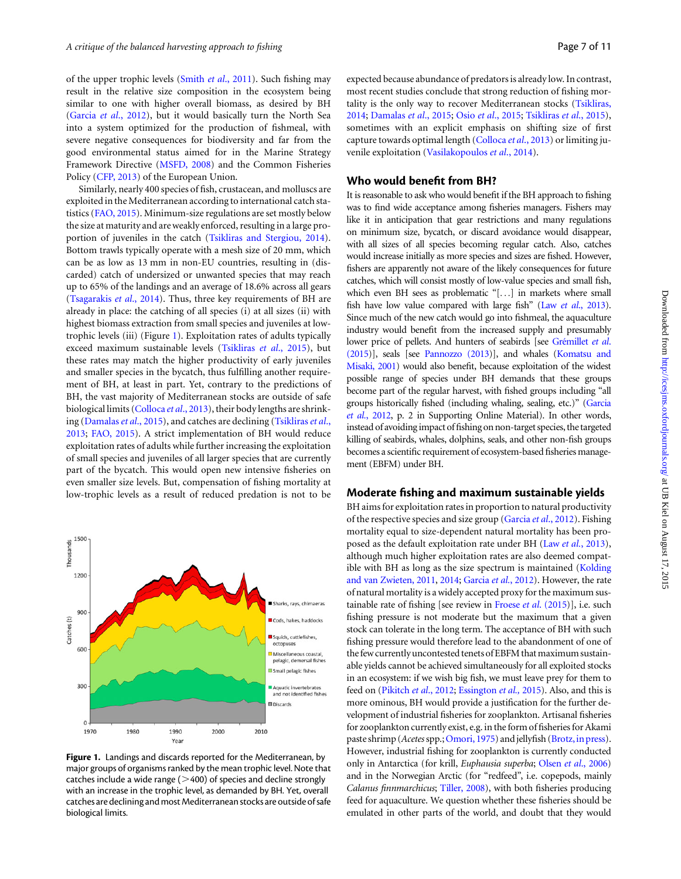of the upper trophic levels (Smith et al[., 2011\)](#page-9-0). Such fishing may result in the relative size composition in the ecosystem being similar to one with higher overall biomass, as desired by BH (Garcia et al[., 2012](#page-8-0)), but it would basically turn the North Sea into a system optimized for the production of fishmeal, with severe negative consequences for biodiversity and far from the good environmental status aimed for in the Marine Strategy Framework Directive ([MSFD, 2008\)](#page-9-0) and the Common Fisheries Policy ([CFP, 2013](#page-7-0)) of the European Union.

Similarly, nearly 400 species of fish, crustacean, and molluscs are exploited in the Mediterranean according to international catch statistics [\(FAO, 2015](#page-8-0)). Minimum-size regulations are set mostly below the size at maturity and are weakly enforced, resulting in a large proportion of juveniles in the catch [\(Tsikliras and Stergiou, 2014](#page-9-0)). Bottom trawls typically operate with a mesh size of 20 mm, which can be as low as 13 mm in non-EU countries, resulting in (discarded) catch of undersized or unwanted species that may reach up to 65% of the landings and an average of 18.6% across all gears ([Tsagarakis](#page-9-0) et al., 2014). Thus, three key requirements of BH are already in place: the catching of all species (i) at all sizes (ii) with highest biomass extraction from small species and juveniles at lowtrophic levels (iii) (Figure 1). Exploitation rates of adults typically exceed maximum sustainable levels [\(Tsikliras](#page-9-0) et al., 2015), but these rates may match the higher productivity of early juveniles and smaller species in the bycatch, thus fulfilling another requirement of BH, at least in part. Yet, contrary to the predictions of BH, the vast majority of Mediterranean stocks are outside of safe biological limits [\(Colloca](#page-7-0) et al., 2013), their body lengths are shrink-ing [\(Damalas](#page-7-0) et al., 2015), and catches are declining [\(Tsikliras](#page-9-0) et al., [2013;](#page-9-0) [FAO, 2015](#page-8-0)). A strict implementation of BH would reduce exploitation rates of adults while further increasing the exploitation of small species and juveniles of all larger species that are currently part of the bycatch. This would open new intensive fisheries on even smaller size levels. But, compensation of fishing mortality at low-trophic levels as a result of reduced predation is not to be



Figure 1. Landings and discards reported for the Mediterranean, by major groups of organisms ranked by the mean trophic level. Note that catches include a wide range ( $>$ 400) of species and decline strongly with an increase in the trophic level, as demanded by BH. Yet, overall catches are declining and most Mediterranean stocks are outside of safe biological limits.

expected because abundance of predators is already low. In contrast, most recent studies conclude that strong reduction of fishing mortality is the only way to recover Mediterranean stocks ([Tsikliras,](#page-9-0) [2014](#page-9-0); [Damalas](#page-7-0) et al., 2015; Osio et al[., 2015;](#page-9-0) [Tsikliras](#page-9-0) et al., 2015), sometimes with an explicit emphasis on shifting size of first capture towards optimal length [\(Colloca](#page-7-0) et al., 2013) or limiting ju-venile exploitation ([Vasilakopoulos](#page-10-0) et al., 2014).

#### Who would benefit from BH?

It is reasonable to ask who would benefit if the BH approach to fishing was to find wide acceptance among fisheries managers. Fishers may like it in anticipation that gear restrictions and many regulations on minimum size, bycatch, or discard avoidance would disappear, with all sizes of all species becoming regular catch. Also, catches would increase initially as more species and sizes are fished. However, fishers are apparently not aware of the likely consequences for future catches, which will consist mostly of low-value species and small fish, which even BH sees as problematic "[...] in markets where small fish have low value compared with large fish" (Law et al[., 2013\)](#page-8-0). Since much of the new catch would go into fishmeal, the aquaculture industry would benefit from the increased supply and presumably lower price of pellets. And hunters of seabirds [see Grémillet et al. [\(2015](#page-8-0))], seals [see [Pannozzo \(2013\)](#page-9-0)], and whales [\(Komatsu and](#page-8-0) [Misaki, 2001](#page-8-0)) would also benefit, because exploitation of the widest possible range of species under BH demands that these groups become part of the regular harvest, with fished groups including "all groups historically fished (including whaling, sealing, etc.)" [\(Garcia](#page-8-0) et al.[, 2012](#page-8-0), p. 2 in Supporting Online Material). In other words, instead of avoidingimpact of fishing on non-target species, the targeted killing of seabirds, whales, dolphins, seals, and other non-fish groups becomes a scientific requirement of ecosystem-based fisheries management (EBFM) under BH.

#### Moderate fishing and maximum sustainable yields

BH aims for exploitation rates in proportion to natural productivity of the respective species and size group ([Garcia](#page-8-0) et al., 2012). Fishing mortality equal to size-dependent natural mortality has been pro-posed as the default exploitation rate under BH (Law et al.[, 2013](#page-8-0)), although much higher exploitation rates are also deemed compat-ible with BH as long as the size spectrum is maintained ([Kolding](#page-8-0) [and van Zwieten, 2011,](#page-8-0) [2014;](#page-8-0) [Garcia](#page-8-0) et al., 2012). However, the rate of natural mortality is a widely accepted proxy for the maximum sus-tainable rate of fishing [see review in Froese et al[. \(2015\)](#page-8-0)], i.e. such fishing pressure is not moderate but the maximum that a given stock can tolerate in the long term. The acceptance of BH with such fishing pressure would therefore lead to the abandonment of one of the few currently uncontested tenets of EBFM that maximum sustainable yields cannot be achieved simultaneously for all exploited stocks in an ecosystem: if we wish big fish, we must leave prey for them to feed on [\(Pikitch](#page-9-0) et al., 2012; [Essington](#page-8-0) et al., 2015). Also, and this is more ominous, BH would provide a justification for the further development of industrial fisheries for zooplankton. Artisanal fisheries for zooplankton currently exist, e.g. in the form of fisheries for Akami paste shrimp (Acetes spp.; [Omori, 1975](#page-9-0)) and jellyfish (Brotz, in press). However, industrial fishing for zooplankton is currently conducted only in Antarctica (for krill, Euphausia superba; Olsen et al[., 2006\)](#page-9-0) and in the Norwegian Arctic (for "redfeed", i.e. copepods, mainly Calanus finnmarchicus; [Tiller, 2008](#page-9-0)), with both fisheries producing feed for aquaculture. We question whether these fisheries should be emulated in other parts of the world, and doubt that they would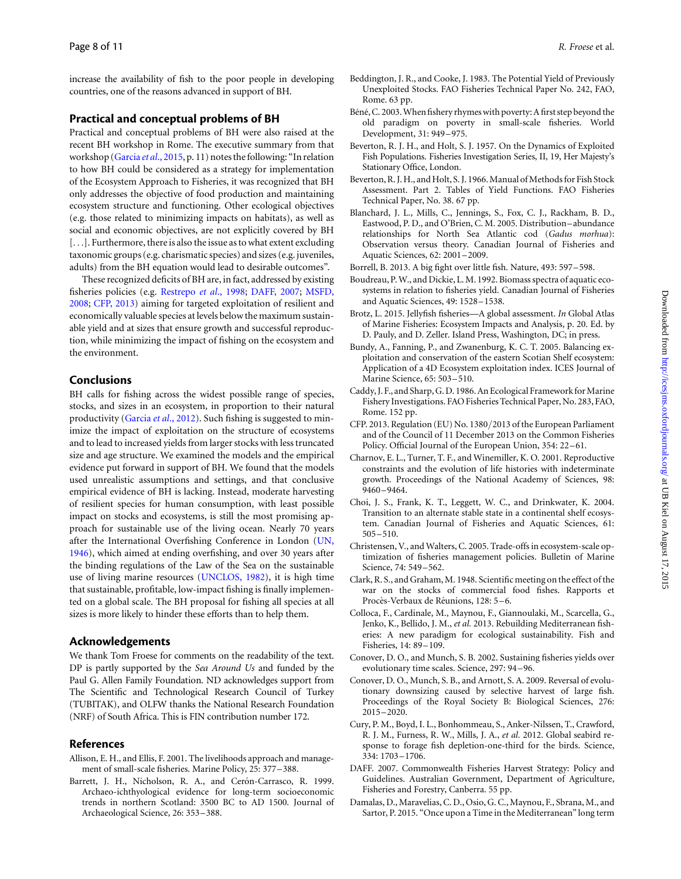<span id="page-7-0"></span>increase the availability of fish to the poor people in developing countries, one of the reasons advanced in support of BH.

#### Practical and conceptual problems of BH

Practical and conceptual problems of BH were also raised at the recent BH workshop in Rome. The executive summary from that workshop ([Garcia](#page-8-0) et al., 2015, p. 11) notes the following: "In relation to how BH could be considered as a strategy for implementation of the Ecosystem Approach to Fisheries, it was recognized that BH only addresses the objective of food production and maintaining ecosystem structure and functioning. Other ecological objectives (e.g. those related to minimizing impacts on habitats), as well as social and economic objectives, are not explicitly covered by BH [...]. Furthermore, there is also the issue as to what extent excluding taxonomic groups (e.g. charismatic species) and sizes (e.g. juveniles, adults) from the BH equation would lead to desirable outcomes".

These recognized deficits of BH are, in fact, addressed by existing fisheries policies (e.g. [Restrepo](#page-9-0) et al., 1998; DAFF, 2007; [MSFD,](#page-9-0) [2008;](#page-9-0) CFP, 2013) aiming for targeted exploitation of resilient and economically valuable species at levels below the maximum sustainable yield and at sizes that ensure growth and successful reproduction, while minimizing the impact of fishing on the ecosystem and the environment.

#### Conclusions

BH calls for fishing across the widest possible range of species, stocks, and sizes in an ecosystem, in proportion to their natural productivity [\(Garcia](#page-8-0) et al., 2012). Such fishing is suggested to minimize the impact of exploitation on the structure of ecosystems and to lead to increased yields from larger stocks with less truncated size and age structure. We examined the models and the empirical evidence put forward in support of BH. We found that the models used unrealistic assumptions and settings, and that conclusive empirical evidence of BH is lacking. Instead, moderate harvesting of resilient species for human consumption, with least possible impact on stocks and ecosystems, is still the most promising approach for sustainable use of the living ocean. Nearly 70 years after the International Overfishing Conference in London [\(UN,](#page-9-0) [1946\)](#page-9-0), which aimed at ending overfishing, and over 30 years after the binding regulations of the Law of the Sea on the sustainable use of living marine resources ([UNCLOS, 1982](#page-9-0)), it is high time that sustainable, profitable, low-impact fishing is finally implemented on a global scale. The BH proposal for fishing all species at all sizes is more likely to hinder these efforts than to help them.

#### Acknowledgements

We thank Tom Froese for comments on the readability of the text. DP is partly supported by the Sea Around Us and funded by the Paul G. Allen Family Foundation. ND acknowledges support from The Scientific and Technological Research Council of Turkey (TUBITAK), and OLFW thanks the National Research Foundation (NRF) of South Africa. This is FIN contribution number 172.

## References

- Allison, E. H., and Ellis, F. 2001. The livelihoods approach and management of small-scale fisheries. Marine Policy, 25: 377–388.
- Barrett, J. H., Nicholson, R. A., and Cerón-Carrasco, R. 1999. Archaeo-ichthyological evidence for long-term socioeconomic trends in northern Scotland: 3500 BC to AD 1500. Journal of Archaeological Science, 26: 353–388.
- Beddington, J. R., and Cooke, J. 1983. The Potential Yield of Previously Unexploited Stocks. FAO Fisheries Technical Paper No. 242, FAO, Rome. 63 pp.
- Béné, C. 2003. When fishery rhymes with poverty: A first step beyond the old paradigm on poverty in small-scale fisheries. World Development, 31: 949–975.
- Beverton, R. J. H., and Holt, S. J. 1957. On the Dynamics of Exploited Fish Populations. Fisheries Investigation Series, II, 19, Her Majesty's Stationary Office, London.
- Beverton, R. J. H., and Holt, S. J. 1966. Manual of Methods for Fish Stock Assessment. Part 2. Tables of Yield Functions. FAO Fisheries Technical Paper, No. 38. 67 pp.
- Blanchard, J. L., Mills, C., Jennings, S., Fox, C. J., Rackham, B. D., Eastwood, P. D., and O'Brien, C. M. 2005. Distribution–abundance relationships for North Sea Atlantic cod (Gadus morhua): Observation versus theory. Canadian Journal of Fisheries and Aquatic Sciences, 62: 2001–2009.

Borrell, B. 2013. A big fight over little fish. Nature, 493: 597–598.

- Boudreau, P.W., and Dickie, L. M. 1992. Biomass spectra of aquatic ecosystems in relation to fisheries yield. Canadian Journal of Fisheries and Aquatic Sciences, 49: 1528–1538.
- Brotz, L. 2015. Jellyfish fisheries—A global assessment. In Global Atlas of Marine Fisheries: Ecosystem Impacts and Analysis, p. 20. Ed. by D. Pauly, and D. Zeller. Island Press, Washington, DC; in press.
- Bundy, A., Fanning, P., and Zwanenburg, K. C. T. 2005. Balancing exploitation and conservation of the eastern Scotian Shelf ecosystem: Application of a 4D Ecosystem exploitation index. ICES Journal of Marine Science, 65: 503–510.
- Caddy, J. F., and Sharp, G. D. 1986. An Ecological Framework for Marine Fishery Investigations. FAO Fisheries Technical Paper, No. 283, FAO, Rome. 152 pp.
- CFP. 2013. Regulation (EU) No. 1380/2013 of the European Parliament and of the Council of 11 December 2013 on the Common Fisheries Policy. Official Journal of the European Union, 354: 22–61.
- Charnov, E. L., Turner, T. F., and Winemiller, K. O. 2001. Reproductive constraints and the evolution of life histories with indeterminate growth. Proceedings of the National Academy of Sciences, 98: 9460–9464.
- Choi, J. S., Frank, K. T., Leggett, W. C., and Drinkwater, K. 2004. Transition to an alternate stable state in a continental shelf ecosystem. Canadian Journal of Fisheries and Aquatic Sciences, 61: 505–510.
- Christensen, V., and Walters, C. 2005. Trade-offs in ecosystem-scale optimization of fisheries management policies. Bulletin of Marine Science, 74: 549–562.
- Clark, R. S., and Graham, M. 1948. Scientific meeting on the effect of the war on the stocks of commercial food fishes. Rapports et Procès-Verbaux de Réunions, 128: 5-6.
- Colloca, F., Cardinale, M., Maynou, F., Giannoulaki, M., Scarcella, G., Jenko, K., Bellido, J. M., et al. 2013. Rebuilding Mediterranean fisheries: A new paradigm for ecological sustainability. Fish and Fisheries, 14: 89-109.
- Conover, D. O., and Munch, S. B. 2002. Sustaining fisheries yields over evolutionary time scales. Science, 297: 94 –96.
- Conover, D. O., Munch, S. B., and Arnott, S. A. 2009. Reversal of evolutionary downsizing caused by selective harvest of large fish. Proceedings of the Royal Society B: Biological Sciences, 276: 2015–2020.
- Cury, P. M., Boyd, I. L., Bonhommeau, S., Anker-Nilssen, T., Crawford, R. J. M., Furness, R. W., Mills, J. A., et al. 2012. Global seabird response to forage fish depletion-one-third for the birds. Science, 334: 1703–1706.
- DAFF. 2007. Commonwealth Fisheries Harvest Strategy: Policy and Guidelines. Australian Government, Department of Agriculture, Fisheries and Forestry, Canberra. 55 pp.
- Damalas, D., Maravelias, C. D., Osio, G. C., Maynou, F., Sbrana, M., and Sartor, P. 2015. "Once upon a Time in the Mediterranean" long term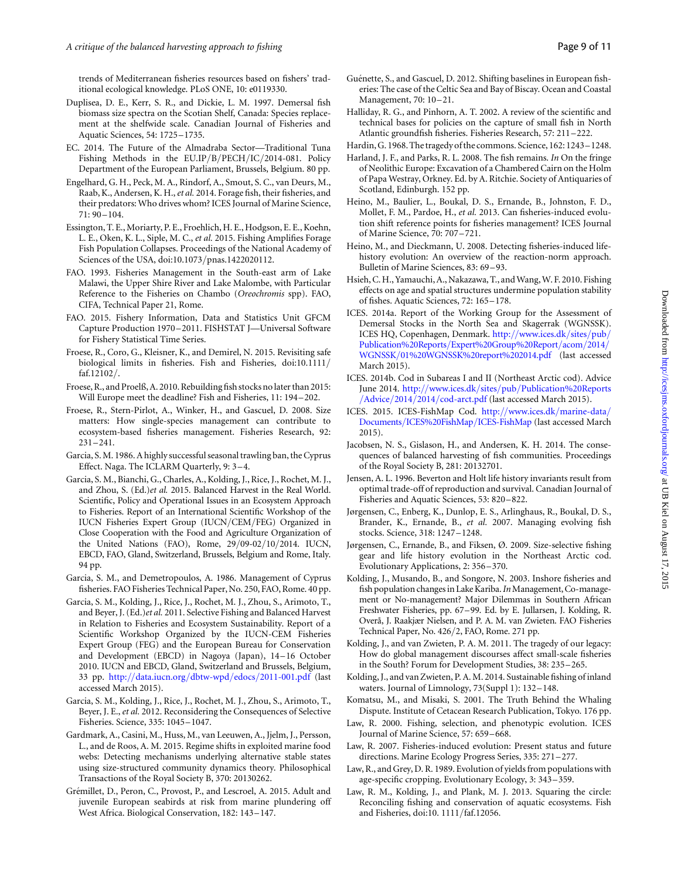<span id="page-8-0"></span>trends of Mediterranean fisheries resources based on fishers' traditional ecological knowledge. PLoS ONE, 10: e0119330.

- Duplisea, D. E., Kerr, S. R., and Dickie, L. M. 1997. Demersal fish biomass size spectra on the Scotian Shelf, Canada: Species replacement at the shelfwide scale. Canadian Journal of Fisheries and Aquatic Sciences, 54: 1725 –1735.
- EC. 2014. The Future of the Almadraba Sector—Traditional Tuna Fishing Methods in the EU.IP/B/PECH/IC/2014-081. Policy Department of the European Parliament, Brussels, Belgium. 80 pp.
- Engelhard, G. H., Peck, M. A., Rindorf, A., Smout, S. C., van Deurs, M., Raab, K., Andersen, K. H., et al. 2014. Forage fish, their fisheries, and their predators: Who drives whom? ICES Journal of Marine Science,  $71:90 - 104.$
- Essington, T. E.,Moriarty, P. E., Froehlich, H. E., Hodgson, E. E., Koehn, L. E., Oken, K. L., Siple, M. C., et al. 2015. Fishing Amplifies Forage Fish Population Collapses. Proceedings of the National Academy of Sciences of the USA, doi:10.1073/pnas.1422020112.
- FAO. 1993. Fisheries Management in the South-east arm of Lake Malawi, the Upper Shire River and Lake Malombe, with Particular Reference to the Fisheries on Chambo (Oreochromis spp). FAO, CIFA, Technical Paper 21, Rome.
- FAO. 2015. Fishery Information, Data and Statistics Unit GFCM Capture Production 1970 –2011. FISHSTAT J—Universal Software for Fishery Statistical Time Series.
- Froese, R., Coro, G., Kleisner, K., and Demirel, N. 2015. Revisiting safe biological limits in fisheries. Fish and Fisheries, doi:10.1111/ faf.12102/.
- Froese,R., and Proelß, A. 2010. Rebuilding fish stocks no later than 2015: Will Europe meet the deadline? Fish and Fisheries, 11: 194–202.
- Froese, R., Stern-Pirlot, A., Winker, H., and Gascuel, D. 2008. Size matters: How single-species management can contribute to ecosystem-based fisheries management. Fisheries Research, 92: 231–241.
- Garcia, S.M. 1986. A highly successful seasonal trawling ban, the Cyprus Effect. Naga. The ICLARM Quarterly, 9: 3 –4.
- Garcia, S. M., Bianchi, G., Charles, A., Kolding, J., Rice, J., Rochet, M. J., and Zhou, S. (Ed.)et al. 2015. Balanced Harvest in the Real World. Scientific, Policy and Operational Issues in an Ecosystem Approach to Fisheries. Report of an International Scientific Workshop of the IUCN Fisheries Expert Group (IUCN/CEM/FEG) Organized in Close Cooperation with the Food and Agriculture Organization of the United Nations (FAO), Rome, 29/09-02/10/2014. IUCN, EBCD, FAO, Gland, Switzerland, Brussels, Belgium and Rome, Italy. 94 pp.
- Garcia, S. M., and Demetropoulos, A. 1986. Management of Cyprus fisheries. FAO Fisheries Technical Paper, No. 250, FAO, Rome. 40 pp.
- Garcia, S. M., Kolding, J., Rice, J., Rochet, M. J., Zhou, S., Arimoto, T., and Beyer, J. (Ed.) et al. 2011. Selective Fishing and Balanced Harvest in Relation to Fisheries and Ecosystem Sustainability. Report of a Scientific Workshop Organized by the IUCN-CEM Fisheries Expert Group (FEG) and the European Bureau for Conservation and Development (EBCD) in Nagoya (Japan), 14 –16 October 2010. IUCN and EBCD, Gland, Switzerland and Brussels, Belgium, 33 pp. [http:](http://data.iucn.org/dbtw-wpd/edocs/2011-001.pdf)//[data.iucn.org](http://data.iucn.org/dbtw-wpd/edocs/2011-001.pdf)/dbtw-wpd/edocs/[2011-001.pdf](http://data.iucn.org/dbtw-wpd/edocs/2011-001.pdf) (last accessed March 2015).
- Garcia, S. M., Kolding, J., Rice, J., Rochet, M. J., Zhou, S., Arimoto, T., Beyer, J. E., et al. 2012. Reconsidering the Consequences of Selective Fisheries. Science, 335: 1045–1047.
- Gardmark, A., Casini, M., Huss, M., van Leeuwen, A., Jjelm, J., Persson, L., and de Roos, A. M. 2015. Regime shifts in exploited marine food webs: Detecting mechanisms underlying alternative stable states using size-structured community dynamics theory. Philosophical Transactions of the Royal Society B, 370: 20130262.
- Grémillet, D., Peron, C., Provost, P., and Lescroel, A. 2015. Adult and juvenile European seabirds at risk from marine plundering off West Africa. Biological Conservation, 182: 143–147.
- Guénette, S., and Gascuel, D. 2012. Shifting baselines in European fisheries: The case of the Celtic Sea and Bay of Biscay. Ocean and Coastal Management, 70: 10-21.
- Halliday, R. G., and Pinhorn, A. T. 2002. A review of the scientific and technical bases for policies on the capture of small fish in North Atlantic groundfish fisheries. Fisheries Research, 57: 211–222.
- Hardin,G. 1968. The tragedy of the commons. Science, 162: 1243–1248.
- Harland, J. F., and Parks, R. L. 2008. The fish remains. In On the fringe of Neolithic Europe: Excavation of a Chambered Cairn on the Holm of Papa Westray, Orkney. Ed. by A. Ritchie. Society of Antiquaries of Scotland, Edinburgh. 152 pp.
- Heino, M., Baulier, L., Boukal, D. S., Ernande, B., Johnston, F. D., Mollet, F. M., Pardoe, H., et al. 2013. Can fisheries-induced evolution shift reference points for fisheries management? ICES Journal of Marine Science, 70: 707 –721.
- Heino, M., and Dieckmann, U. 2008. Detecting fisheries-induced lifehistory evolution: An overview of the reaction-norm approach. Bulletin of Marine Sciences, 83: 69 –93.
- Hsieh, C. H., Yamauchi, A., Nakazawa, T., and Wang, W. F. 2010. Fishing effects on age and spatial structures undermine population stability of fishes. Aquatic Sciences, 72: 165–178.
- ICES. 2014a. Report of the Working Group for the Assessment of Demersal Stocks in the North Sea and Skagerrak (WGNSSK). ICES HQ, Copenhagen, Denmark. [http:](http://www.ices.dk/sites/pub/Publication%20Reports/Expert%20Group%20Report/acom/2014/WGNSSK/01%20WGNSSK%20report%202014.pdf)//[www.ices.dk](http://www.ices.dk/sites/pub/Publication%20Reports/Expert%20Group%20Report/acom/2014/WGNSSK/01%20WGNSSK%20report%202014.pdf)/sites/pub/ Publication%20Reports/[Expert%20Group%20Report](http://www.ices.dk/sites/pub/Publication%20Reports/Expert%20Group%20Report/acom/2014/WGNSSK/01%20WGNSSK%20report%202014.pdf)/acom/2014/ WGNSSK/[01%20WGNSSK%20report%202014.pdf](http://www.ices.dk/sites/pub/Publication%20Reports/Expert%20Group%20Report/acom/2014/WGNSSK/01%20WGNSSK%20report%202014.pdf) (last accessed March 2015).
- ICES. 2014b. Cod in Subareas I and II (Northeast Arctic cod). Advice June 2014. [http:](http://www.ices.dk/sites/pub/Publication%20Reports/Advice/2014/2014/cod-arct.pdf)//[www.ices](http://www.ices.dk/sites/pub/Publication%20Reports/Advice/2014/2014/cod-arct.pdf).dk/sites/pub/[Publication%20Reports](http://www.ices.dk/sites/pub/Publication%20Reports/Advice/2014/2014/cod-arct.pdf) /Advice/2014/2014/[cod-arct.pdf](http://www.ices.dk/sites/pub/Publication%20Reports/Advice/2014/2014/cod-arct.pdf) (last accessed March 2015).
- ICES. 2015. ICES-FishMap Cod. [http:](http://www.ices.dk/marine-data/Documents/ICES%20FishMap/ICES-FishMap)//[www.ices.dk](http://www.ices.dk/marine-data/Documents/ICES%20FishMap/ICES-FishMap)/marine-data/ Documents/[ICES%20FishMap](http://www.ices.dk/marine-data/Documents/ICES%20FishMap/ICES-FishMap)/ICES-FishMap (last accessed March 2015).
- Jacobsen, N. S., Gislason, H., and Andersen, K. H. 2014. The consequences of balanced harvesting of fish communities. Proceedings of the Royal Society B, 281: 20132701.
- Jensen, A. L. 1996. Beverton and Holt life history invariants result from optimal trade-off of reproduction and survival. Canadian Journal of Fisheries and Aquatic Sciences, 53: 820–822.
- Jørgensen, C., Enberg, K., Dunlop, E. S., Arlinghaus, R., Boukal, D. S., Brander, K., Ernande, B., et al. 2007. Managing evolving fish stocks. Science, 318: 1247 –1248.
- Jørgensen, C., Ernande, B., and Fiksen, Ø. 2009. Size-selective fishing gear and life history evolution in the Northeast Arctic cod. Evolutionary Applications, 2: 356 –370.
- Kolding, J., Musando, B., and Songore, N. 2003. Inshore fisheries and fish population changes in Lake Kariba. In Management, Co-management or No-management? Major Dilemmas in Southern African Freshwater Fisheries, pp. 67–99. Ed. by E. Jullarsen, J. Kolding, R. Overå, J. Raakjær Nielsen, and P. A. M. van Zwieten. FAO Fisheries Technical Paper, No. 426/2, FAO, Rome. 271 pp.
- Kolding, J., and van Zwieten, P. A. M. 2011. The tragedy of our legacy: How do global management discourses affect small-scale fisheries in the South? Forum for Development Studies, 38: 235–265.
- Kolding, J., and van Zwieten, P. A. M. 2014. Sustainable fishing of inland waters. Journal of Limnology, 73(Suppl 1): 132–148.
- Komatsu, M., and Misaki, S. 2001. The Truth Behind the Whaling Dispute. Institute of Cetacean Research Publication, Tokyo. 176 pp.
- Law, R. 2000. Fishing, selection, and phenotypic evolution. ICES Journal of Marine Science, 57: 659–668.
- Law, R. 2007. Fisheries-induced evolution: Present status and future directions. Marine Ecology Progress Series, 335: 271 –277.
- Law, R., and Grey, D. R. 1989. Evolution of yields from populations with age-specific cropping. Evolutionary Ecology, 3: 343–359.
- Law, R. M., Kolding, J., and Plank, M. J. 2013. Squaring the circle: Reconciling fishing and conservation of aquatic ecosystems. Fish and Fisheries, doi:10. 1111/faf.12056.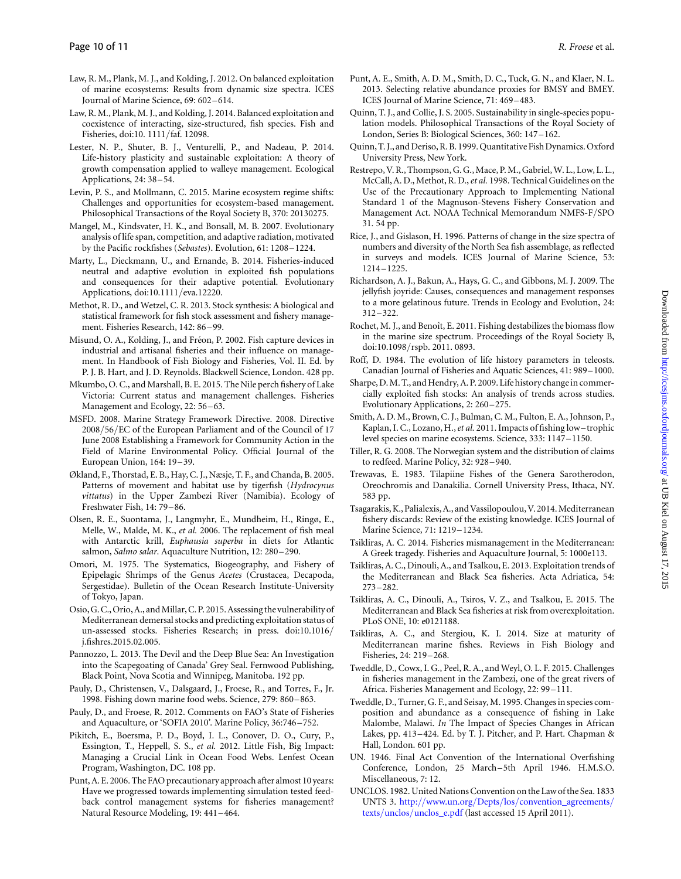- <span id="page-9-0"></span>Law, R. M., Plank, M. J., and Kolding, J. 2012. On balanced exploitation of marine ecosystems: Results from dynamic size spectra. ICES Journal of Marine Science, 69: 602–614.
- Law, R. M., Plank, M. J., and Kolding, J. 2014. Balanced exploitation and coexistence of interacting, size-structured, fish species. Fish and Fisheries, doi:10. 1111/faf. 12098.
- Lester, N. P., Shuter, B. J., Venturelli, P., and Nadeau, P. 2014. Life-history plasticity and sustainable exploitation: A theory of growth compensation applied to walleye management. Ecological Applications, 24: 38–54.
- Levin, P. S., and Mollmann, C. 2015. Marine ecosystem regime shifts: Challenges and opportunities for ecosystem-based management. Philosophical Transactions of the Royal Society B, 370: 20130275.
- Mangel, M., Kindsvater, H. K., and Bonsall, M. B. 2007. Evolutionary analysis of life span, competition, and adaptive radiation, motivated by the Pacific rockfishes (Sebastes). Evolution, 61: 1208–1224.
- Marty, L., Dieckmann, U., and Ernande, B. 2014. Fisheries-induced neutral and adaptive evolution in exploited fish populations and consequences for their adaptive potential. Evolutionary Applications, doi:10.1111/eva.12220.
- Methot, R. D., and Wetzel, C. R. 2013. Stock synthesis: A biological and statistical framework for fish stock assessment and fishery management. Fisheries Research, 142: 86-99.
- Misund, O. A., Kolding, J., and Fréon, P. 2002. Fish capture devices in industrial and artisanal fisheries and their influence on management. In Handbook of Fish Biology and Fisheries, Vol. II. Ed. by P. J. B. Hart, and J. D. Reynolds. Blackwell Science, London. 428 pp.
- Mkumbo, O. C., and Marshall, B. E. 2015. The Nile perch fishery of Lake Victoria: Current status and management challenges. Fisheries Management and Ecology, 22: 56 –63.
- MSFD. 2008. Marine Strategy Framework Directive. 2008. Directive 2008/56/EC of the European Parliament and of the Council of 17 June 2008 Establishing a Framework for Community Action in the Field of Marine Environmental Policy. Official Journal of the European Union, 164: 19–39.
- Økland, F., Thorstad, E. B., Hay, C. J., Næsje, T. F., and Chanda, B. 2005. Patterns of movement and habitat use by tigerfish (Hydrocynus vittatus) in the Upper Zambezi River (Namibia). Ecology of Freshwater Fish, 14: 79–86.
- Olsen, R. E., Suontama, J., Langmyhr, E., Mundheim, H., Ringø, E., Melle, W., Malde, M. K., et al. 2006. The replacement of fish meal with Antarctic krill, Euphausia superba in diets for Atlantic salmon, Salmo salar. Aquaculture Nutrition, 12: 280–290.
- Omori, M. 1975. The Systematics, Biogeography, and Fishery of Epipelagic Shrimps of the Genus Acetes (Crustacea, Decapoda, Sergestidae). Bulletin of the Ocean Research Institute-University of Tokyo, Japan.
- Osio,G. C., Orio,A., andMillar, C. P. 2015. Assessing the vulnerability of Mediterranean demersal stocks and predicting exploitation status of un-assessed stocks. Fisheries Research; in press. doi:10.1016/ j.fishres.2015.02.005.
- Pannozzo, L. 2013. The Devil and the Deep Blue Sea: An Investigation into the Scapegoating of Canada' Grey Seal. Fernwood Publishing, Black Point, Nova Scotia and Winnipeg, Manitoba. 192 pp.
- Pauly, D., Christensen, V., Dalsgaard, J., Froese, R., and Torres, F., Jr. 1998. Fishing down marine food webs. Science, 279: 860–863.
- Pauly, D., and Froese, R. 2012. Comments on FAO's State of Fisheries and Aquaculture, or 'SOFIA 2010'. Marine Policy, 36:746 –752.
- Pikitch, E., Boersma, P. D., Boyd, I. L., Conover, D. O., Cury, P., Essington, T., Heppell, S. S., et al. 2012. Little Fish, Big Impact: Managing a Crucial Link in Ocean Food Webs. Lenfest Ocean Program, Washington, DC. 108 pp.
- Punt, A. E. 2006. The FAO precautionary approach after almost 10 years: Have we progressed towards implementing simulation tested feedback control management systems for fisheries management? Natural Resource Modeling, 19: 441–464.
- Punt, A. E., Smith, A. D. M., Smith, D. C., Tuck, G. N., and Klaer, N. L. 2013. Selecting relative abundance proxies for BMSY and BMEY. ICES Journal of Marine Science, 71: 469 –483.
- Quinn, T. J., and Collie, J. S. 2005. Sustainability in single-species population models. Philosophical Transactions of the Royal Society of London, Series B: Biological Sciences, 360: 147 –162.
- Quinn,T. J., and Deriso,R. B. 1999. Quantitative Fish Dynamics. Oxford University Press, New York.
- Restrepo, V. R., Thompson, G. G., Mace, P.M., Gabriel,W. L., Low, L. L., McCall, A. D., Methot, R. D., et al. 1998. Technical Guidelines on the Use of the Precautionary Approach to Implementing National Standard 1 of the Magnuson-Stevens Fishery Conservation and Management Act. NOAA Technical Memorandum NMFS-F/SPO 31. 54 pp.
- Rice, J., and Gislason, H. 1996. Patterns of change in the size spectra of numbers and diversity of the North Sea fish assemblage, as reflected in surveys and models. ICES Journal of Marine Science, 53: 1214–1225.
- Richardson, A. J., Bakun, A., Hays, G. C., and Gibbons, M. J. 2009. The jellyfish joyride: Causes, consequences and management responses to a more gelatinous future. Trends in Ecology and Evolution, 24: 312–322.
- Rochet, M. J., and Benoît, E. 2011. Fishing destabilizes the biomass flow in the marine size spectrum. Proceedings of the Royal Society B, doi:10.1098/rspb. 2011. 0893.
- Roff, D. 1984. The evolution of life history parameters in teleosts. Canadian Journal of Fisheries and Aquatic Sciences, 41: 989–1000.
- Sharpe, D.M. T., and Hendry, A. P. 2009. Life history change in commercially exploited fish stocks: An analysis of trends across studies. Evolutionary Applications, 2: 260 –275.
- Smith, A. D. M., Brown, C. J., Bulman, C. M., Fulton, E. A., Johnson, P., Kaplan, I. C., Lozano, H., et al. 2011. Impacts of fishing low–trophic level species on marine ecosystems. Science, 333: 1147–1150.
- Tiller, R. G. 2008. The Norwegian system and the distribution of claims to redfeed. Marine Policy, 32: 928 –940.
- Trewavas, E. 1983. Tilapiine Fishes of the Genera Sarotherodon, Oreochromis and Danakilia. Cornell University Press, Ithaca, NY. 583 pp.
- Tsagarakis, K., Palialexis, A., and Vassilopoulou, V. 2014. Mediterranean fishery discards: Review of the existing knowledge. ICES Journal of Marine Science, 71: 1219–1234.
- Tsikliras, A. C. 2014. Fisheries mismanagement in the Mediterranean: A Greek tragedy. Fisheries and Aquaculture Journal, 5: 1000e113.
- Tsikliras, A. C., Dinouli, A., and Tsalkou, E. 2013. Exploitation trends of the Mediterranean and Black Sea fisheries. Acta Adriatica, 54: 273–282.
- Tsikliras, A. C., Dinouli, A., Tsiros, V. Z., and Tsalkou, E. 2015. The Mediterranean and Black Sea fisheries at risk from overexploitation. PLoS ONE, 10: e0121188.
- Tsikliras, A. C., and Stergiou, K. I. 2014. Size at maturity of Mediterranean marine fishes. Reviews in Fish Biology and Fisheries, 24: 219 –268.
- Tweddle, D., Cowx, I. G., Peel, R. A., and Weyl, O. L. F. 2015. Challenges in fisheries management in the Zambezi, one of the great rivers of Africa. Fisheries Management and Ecology, 22: 99 –111.
- Tweddle, D., Turner, G. F., and Seisay, M. 1995. Changes in species composition and abundance as a consequence of fishing in Lake Malombe, Malawi. In The Impact of Species Changes in African Lakes, pp. 413–424. Ed. by T. J. Pitcher, and P. Hart. Chapman & Hall, London. 601 pp.
- UN. 1946. Final Act Convention of the International Overfishing Conference, London, 25 March –5th April 1946. H.M.S.O. Miscellaneous, 7: 12.
- UNCLOS. 1982. United Nations Convention on the Law of the Sea. 1833 UNTS 3. [http:](http://www.un.org/Depts/los/convention_agreements/texts/unclos/unclos_e.pdf)//[www.un.](http://www.un.org/Depts/los/convention_agreements/texts/unclos/unclos_e.pdf)org/Depts/los/[convention\\_agreements](http://www.un.org/Depts/los/convention_agreements/texts/unclos/unclos_e.pdf)/ texts/unclos/[unclos\\_e.pdf](http://www.un.org/Depts/los/convention_agreements/texts/unclos/unclos_e.pdf) (last accessed 15 April 2011).